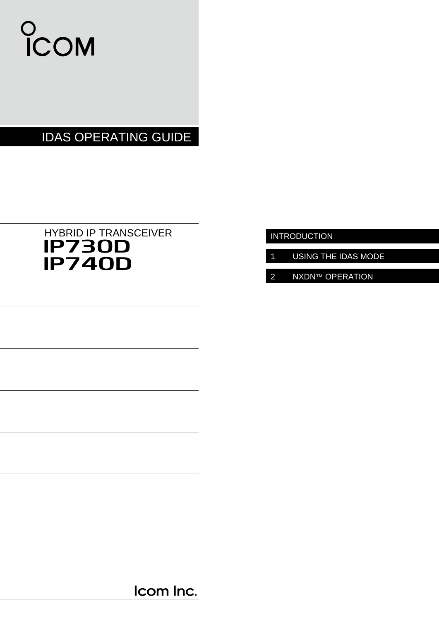

# IDAS OPERATING GUIDE

# IP730D HYBRID IP TRANSCEIVER IP740D

INTRODUCTION

- 1 USING THE IDAS MODE
- 2 NXDN™ OPERATION

Icom Inc.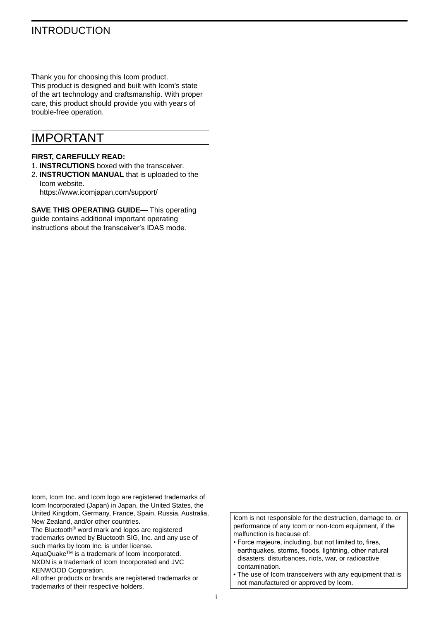## INTRODUCTION

Thank you for choosing this Icom product. This product is designed and built with Icom's state of the art technology and craftsmanship. With proper care, this product should provide you with years of trouble-free operation.

## IMPORTANT

### **FIRST, CAREFULLY READ:**

- 1. **INSTRCUTIONS** boxed with the transceiver.
- 2. **INSTRUCTION MANUAL** that is uploaded to the Icom website. https://www.icomjapan.com/support/

**SAVE THIS OPERATING GUIDE—** This operating guide contains additional important operating instructions about the transceiver's IDAS mode.

Icom, Icom Inc. and Icom logo are registered trademarks of Icom Incorporated (Japan) in Japan, the United States, the United Kingdom, Germany, France, Spain, Russia, Australia, New Zealand, and/or other countries.

The Bluetooth® word mark and logos are registered trademarks owned by Bluetooth SIG, Inc. and any use of such marks by Icom Inc. is under license.

AquaQuake<sup>TM</sup> is a trademark of Icom Incorporated. NXDN is a trademark of Icom Incorporated and JVC KENWOOD Corporation.

All other products or brands are registered trademarks or trademarks of their respective holders.

Icom is not responsible for the destruction, damage to, or performance of any Icom or non-Icom equipment, if the malfunction is because of:

- Force majeure, including, but not limited to, fires, earthquakes, storms, floods, lightning, other natural disasters, disturbances, riots, war, or radioactive contamination.
- The use of Icom transceivers with any equipment that is not manufactured or approved by Icom.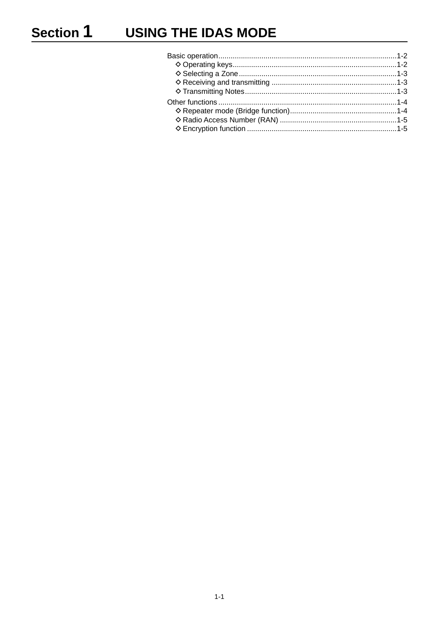# **USING THE IDAS MODE**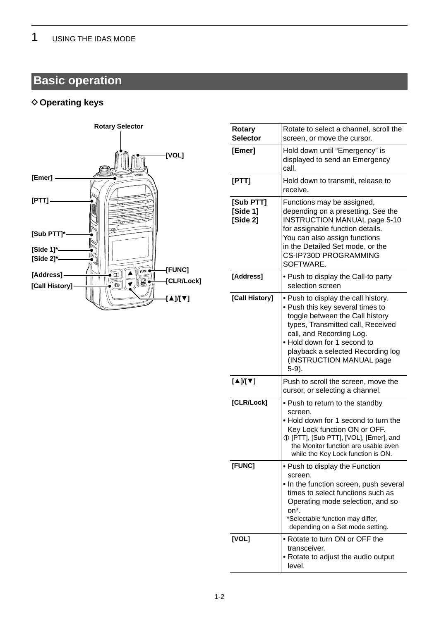# <span id="page-3-0"></span>**Basic operation**

## **◇ Operating keys**



| Rotary<br><b>Selector</b>         | Rotate to select a channel, scroll the<br>screen, or move the cursor.                                                                                                                                                                                                                   |
|-----------------------------------|-----------------------------------------------------------------------------------------------------------------------------------------------------------------------------------------------------------------------------------------------------------------------------------------|
| [Emer]                            | Hold down until "Emergency" is<br>displayed to send an Emergency<br>call.                                                                                                                                                                                                               |
| [PTT]                             | Hold down to transmit, release to<br>receive.                                                                                                                                                                                                                                           |
| [Sub PTT]<br>[Side 1]<br>[Side 2] | Functions may be assigned,<br>depending on a presetting. See the<br><b>INSTRUCTION MANUAL page 5-10</b><br>for assignable function details.<br>You can also assign functions<br>in the Detailed Set mode, or the<br>CS-IP730D PROGRAMMING<br>SOFTWARE.                                  |
| [Address]                         | • Push to display the Call-to party<br>selection screen                                                                                                                                                                                                                                 |
| [Call History]                    | . Push to display the call history.<br>• Push this key several times to<br>toggle between the Call history<br>types, Transmitted call, Received<br>call, and Recording Log.<br>. Hold down for 1 second to<br>playback a selected Recording log<br>(INSTRUCTION MANUAL page<br>$5-9$ ). |
| $[4]$ [ $\nabla$ ]                | Push to scroll the screen, move the<br>cursor, or selecting a channel.                                                                                                                                                                                                                  |
| [CLR/Lock]                        | • Push to return to the standby<br>screen.<br>. Hold down for 1 second to turn the<br>Key Lock function ON or OFF.<br>1 [PTT], [Sub PTT], [VOL], [Emer], and<br>the Monitor function are usable even<br>while the Key Lock function is ON.                                              |
| [FUNC]                            | • Push to display the Function<br>screen.<br>• In the function screen, push several<br>times to select functions such as<br>Operating mode selection, and so<br>on*.<br>*Selectable function may differ,<br>depending on a Set mode setting.                                            |
| [VOL]                             | • Rotate to turn ON or OFF the<br>transceiver.<br>• Rotate to adjust the audio output<br>level.                                                                                                                                                                                         |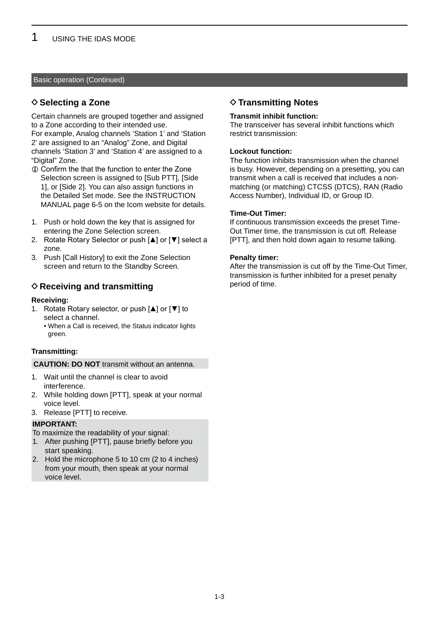### <span id="page-4-0"></span>Basic operation (Continued)

### **◇ Selecting a Zone**

Certain channels are grouped together and assigned to a Zone according to their intended use. For example, Analog channels 'Station 1' and 'Station 2' are assigned to an "Analog" Zone, and Digital channels 'Station 3' and 'Station 4' are assigned to a "Digital" Zone.

- L Confirm the that the function to enter the Zone Selection screen is assigned to [Sub PTT], [Side 1], or [Side 2]. You can also assign functions in the Detailed Set mode. See the INSTRUCTION MANUAL page 6-5 on the Icom website for details.
- 1. Push or hold down the key that is assigned for entering the Zone Selection screen.
- 2. Rotate Rotary Selector or push [▲] or [▼] select a zone.
- 3. Push [Call History] to exit the Zone Selection screen and return to the Standby Screen.

### **♦ Receiving and transmitting**

### **Receiving:**

- 1. Rotate Rotary selector, or push [▲] or [▼] to select a channel.
	- When a Call is received, the Status indicator lights green.

### **Transmitting:**

### **CAUTION: DO NOT** transmit without an antenna.

- 1. Wait until the channel is clear to avoid interference.
- 2. While holding down [PTT], speak at your normal voice level.
- 3. Release [PTT] to receive.

### **IMPORTANT:**

To maximize the readability of your signal:

- 1. After pushing [PTT], pause briefly before you start speaking.
- 2. Hold the microphone 5 to 10 cm (2 to 4 inches) from your mouth, then speak at your normal voice level.

### **♦ Transmitting Notes**

### **Transmit inhibit function:**

The transceiver has several inhibit functions which restrict transmission:

### **Lockout function:**

The function inhibits transmission when the channel is busy. However, depending on a presetting, you can transmit when a call is received that includes a nonmatching (or matching) CTCSS (DTCS), RAN (Radio Access Number), Individual ID, or Group ID.

### **Time-Out Timer:**

If continuous transmission exceeds the preset Time-Out Timer time, the transmission is cut off. Release [PTT], and then hold down again to resume talking.

### **Penalty timer:**

After the transmission is cut off by the Time-Out Timer, transmission is further inhibited for a preset penalty period of time.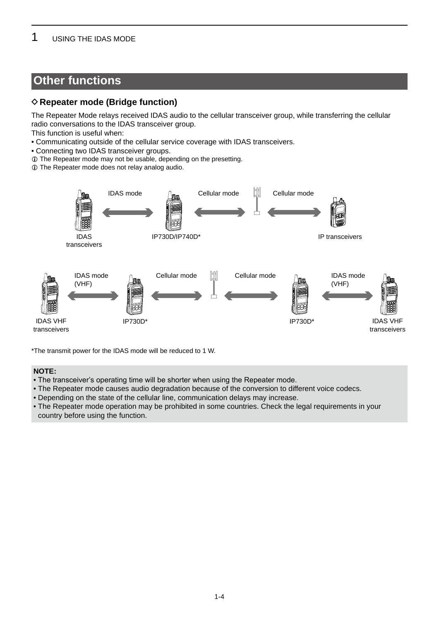## <span id="page-5-0"></span>**Other functions**

## **♦ Repeater mode (Bridge function)**

The Repeater Mode relays received IDAS audio to the cellular transceiver group, while transferring the cellular radio conversations to the IDAS transceiver group.

This function is useful when:

- Communicating outside of the cellular service coverage with IDAS transceivers.
- Connecting two IDAS transceiver groups.
- L The Repeater mode may not be usable, depending on the presetting.
- L The Repeater mode does not relay analog audio.



\*The transmit power for the IDAS mode will be reduced to 1 W.

### **NOTE:**

- The transceiver's operating time will be shorter when using the Repeater mode.
- The Repeater mode causes audio degradation because of the conversion to different voice codecs.
- Depending on the state of the cellular line, communication delays may increase.
- The Repeater mode operation may be prohibited in some countries. Check the legal requirements in your country before using the function.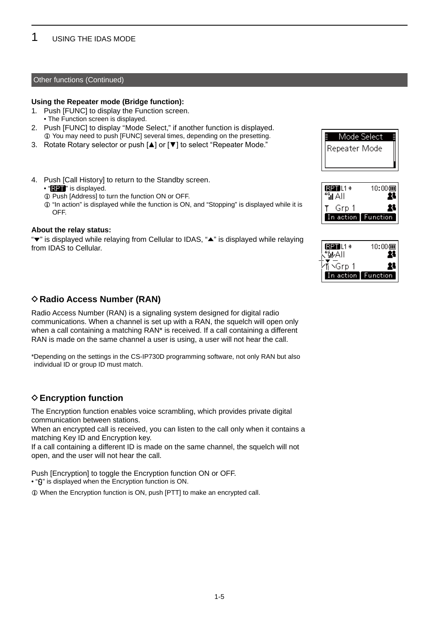### <span id="page-6-0"></span>Other functions (Continued)

### **Using the Repeater mode (Bridge function):**

- 1. Push [FUNC] to display the Function screen.
	- The Function screen is displayed.
- 2. Push [FUNC] to display "Mode Select," if another function is displayed.  $Q$  You may need to push [FUNC] several times, depending on the presetting.
- 3� Rotate Rotary selector or push [▲] or [▼] to select "Repeater Mode."
- 4. Push [Call History] to return to the Standby screen.
	- $\cdot$  " $\blacksquare$ " is displayed.
	- $Q$  Push [Address] to turn the function ON or OFF.
	- L "In action" is displayed while the function is ON, and "Stopping" is displayed while it is OFF.

### **About the relay status:**

"▼" is displayed while relaying from Cellular to IDAS, "▲" is displayed while relaying from IDAS to Cellular.

### **♦ Radio Access Number (RAN)**

Radio Access Number (RAN) is a signaling system designed for digital radio communications. When a channel is set up with a RAN, the squelch will open only when a call containing a matching RAN<sup>\*</sup> is received. If a call containing a different RAN is made on the same channel a user is using, a user will not hear the call.

\* Depending on the settings in the CS-IP730D programming software, not only RAN but also individual ID or group ID must match.

### **♦ Encryption function**

The Encryption function enables voice scrambling, which provides private digital communication between stations.

When an encrypted call is received, you can listen to the call only when it contains a matching Key ID and Encryption key.

If a call containing a different ID is made on the same channel, the squelch will not open, and the user will not hear the call.

Push [Encryption] to toggle the Encryption function ON or OFF.

• " $\mathbf{\hat{G}}$ " is displayed when the Encryption function is ON.

 $\odot$  When the Encryption function is ON, push [PTT] to make an encrypted call.



| RPT L1 *<br><b>MAI</b> | 10:000             |
|------------------------|--------------------|
| Grp 1                  | х                  |
|                        | In action Function |

| 1L1 *       | $10;00$ (जा |
|-------------|-------------|
| ΑII         |             |
| .Grp.       |             |
| action<br>ı |             |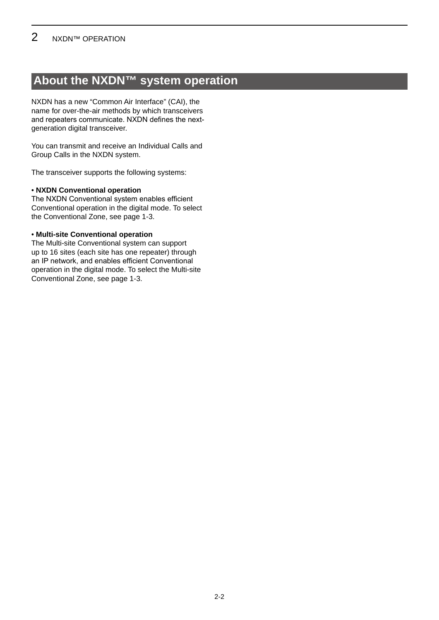## <span id="page-8-0"></span>**About the NXDN™ system operation**

NXDN has a new "Common Air Interface" (CAI), the name for over-the-air methods by which transceivers and repeaters communicate. NXDN defines the nextgeneration digital transceiver.

You can transmit and receive an Individual Calls and Group Calls in the NXDN system.

The transceiver supports the following systems:

### • **NXDN Conventional operation**

The NXDN Conventional system enables efficient Conventional operation in the digital mode. To select the Conventional Zone, see page 1-3.

### • **Multi-site Conventional operation**

The Multi-site Conventional system can support up to 16 sites (each site has one repeater) through an IP network, and enables efficient Conventional operation in the digital mode. To select the Multi-site Conventional Zone, see page 1-3.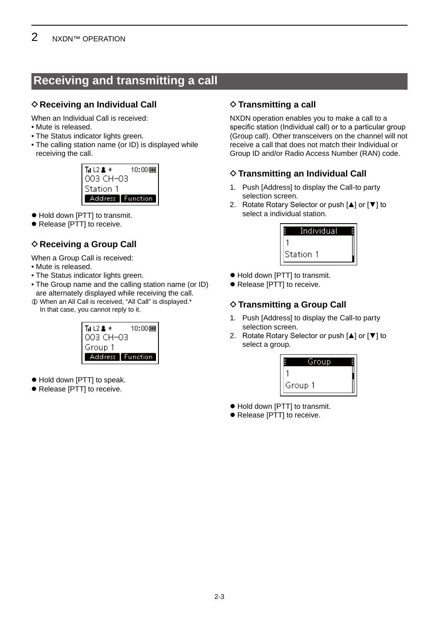## <span id="page-9-0"></span>**Receiving and transmitting a call**

## $\diamond$  Receiving an Individual Call

When an Individual Call is received:

- Mute is released�
- The Status indicator lights green.
- The calling station name (or ID) is displayed while receiving the call.

| T∎L2 & *         | 10:000 |  |
|------------------|--------|--|
| 003 CH-03        |        |  |
| Station 1        |        |  |
| Address Function |        |  |

- $\bullet$  Hold down [PTT] to transmit.
- $\bullet$  Release [PTT] to receive.

## **♦ Receiving a Group Call**

When a Group Call is received:

- Mute is released.
- The Status indicator lights green.
- The Group name and the calling station name (or ID) are alternately displayed while receiving the call.
- $\Phi$  When an All Call is received, "All Call" is displayed.\* In that case, you cannot reply to it.



- $\bullet$  Hold down [PTT] to speak.
- $\bullet$  Release [PTT] to receive.

## $\diamond$  Transmitting a call

NXDN operation enables you to make a call to a specific station (Individual call) or to a particular group (Group call). Other transceivers on the channel will not receive a call that does not match their Individual or Group ID and/or Radio Access Number (RAN) code.

## $\diamond$  Transmitting an Individual Call

- 1. Push [Address] to display the Call-to party selection screen.
- 2. Rotate Rotary Selector or push [▲] or [▼] to select a individual station.



- $\bullet$  Hold down [PTT] to transmit.
- $\bullet$  Release [PTT] to receive.

## $\diamond$  Transmitting a Group Call

- 1. Push [Address] to display the Call-to party selection screen.
- 2. Rotate Rotary Selector or push [▲] or [▼] to select a group.



- $\bullet$  Hold down [PTT] to transmit.
- $\bullet$  Release [PTT] to receive.